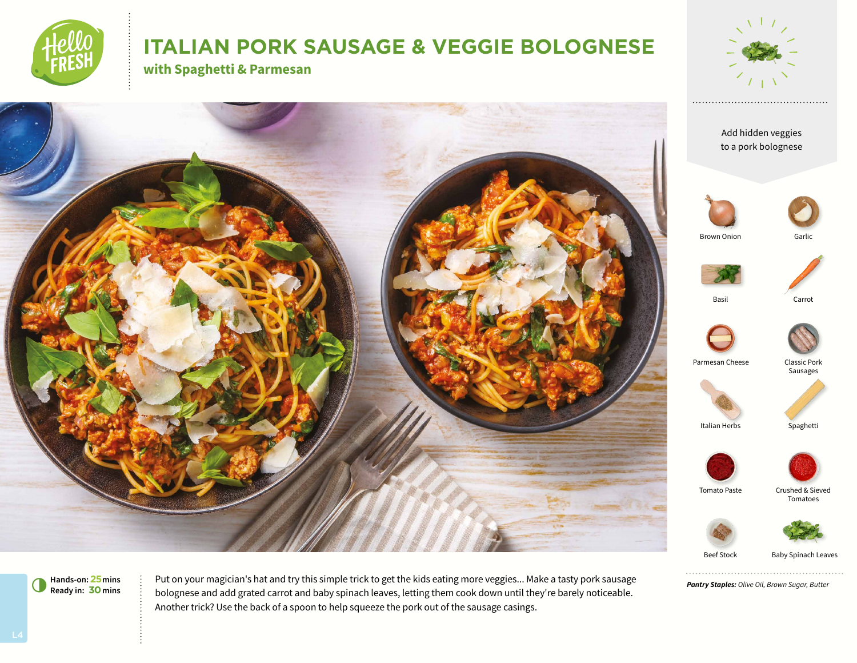

# **ITALIAN PORK SAUSAGE & VEGGIE BOLOGNESE**

**with Spaghetti & Parmesan**





*Pantry Staples: Olive Oil, Brown Sugar, Butter*

. . . . . . . . . . . . . . . . . . .

Beef Stock Baby Spinach Leaves

**Hands-on:25mins** 6**Ready in: 30mins**

Put on your magician's hat and try this simple trick to get the kids eating more veggies... Make a tasty pork sausage bolognese and add grated carrot and baby spinach leaves, letting them cook down until they're barely noticeable. Another trick? Use the back of a spoon to help squeeze the pork out of the sausage casings.